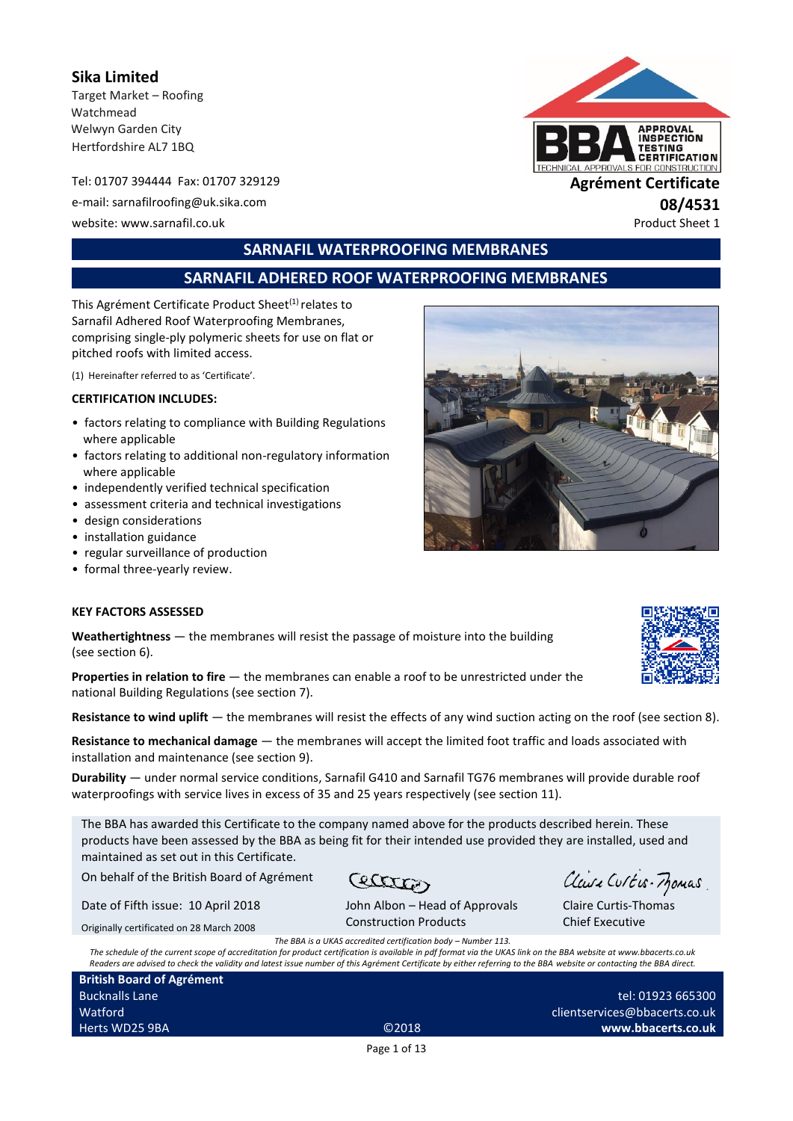**Sika Limited** Target Market – Roofing Watchmead Welwyn Garden City Hertfordshire AL7 1BQ

Tel: 01707 394444 Fax: 01707 329129 **Agrément Certificate** e-mail: sarnafilroofing@uk.sika.com **08/4531** website: www.sarnafil.co.uk Product Sheet 1



## **SARNAFIL WATERPROOFING MEMBRANES**

## **SARNAFIL ADHERED ROOF WATERPROOFING MEMBRANES**

This Agrément Certificate Product Sheet<sup>(1)</sup> relates to Sarnafil Adhered Roof Waterproofing Membranes, comprising single-ply polymeric sheets for use on flat or pitched roofs with limited access.

(1) Hereinafter referred to as 'Certificate'.

#### **CERTIFICATION INCLUDES:**

- factors relating to compliance with Building Regulations where applicable
- factors relating to additional non-regulatory information where applicable
- independently verified technical specification
- assessment criteria and technical investigations
- design considerations
- installation guidance
- regular surveillance of production
- formal three-yearly review.

#### **KEY FACTORS ASSESSED**

**Weathertightness** — the membranes will resist the passage of moisture into the building (see section 6).

**Properties in relation to fire** — the membranes can enable a roof to be unrestricted under the national Building Regulations (see section 7).

**Resistance to wind uplift** — the membranes will resist the effects of any wind suction acting on the roof (see section 8).

**Resistance to mechanical damage** — the membranes will accept the limited foot traffic and loads associated with installation and maintenance (see section 9).

**Durability** — under normal service conditions, Sarnafil G410 and Sarnafil TG76 membranes will provide durable roof waterproofings with service lives in excess of 35 and 25 years respectively (see section 11).

The BBA has awarded this Certificate to the company named above for the products described herein. These products have been assessed by the BBA as being fit for their intended use provided they are installed, used and maintained as set out in this Certificate.

On behalf of the British Board of Agrément

Date of Fifth issue: 10 April 2018 Originally certificated on 28 March 2008

Cecacas

Claire Curtis-Momas

John Albon – Head of Approvals Construction Products

Claire Curtis-Thomas Chief Executive

*The BBA is a UKAS accredited certification body – Number 113.*

*The schedule of the current scope of accreditation for product certification is available in pdf format via the UKAS link on the BBA website at www.bbacerts.co.uk Readers are advised to check the validity and latest issue number of this Agrément Certificate by either referring to the BBA website or contacting the BBA direct.*

**British Board of Agrément** Bucknalls Lane Watford Herts WD25 9BA ©2018

tel: 01923 665300 clientservices@bbacerts.co.uk **www.bbacerts.co.uk**

Page 1 of 13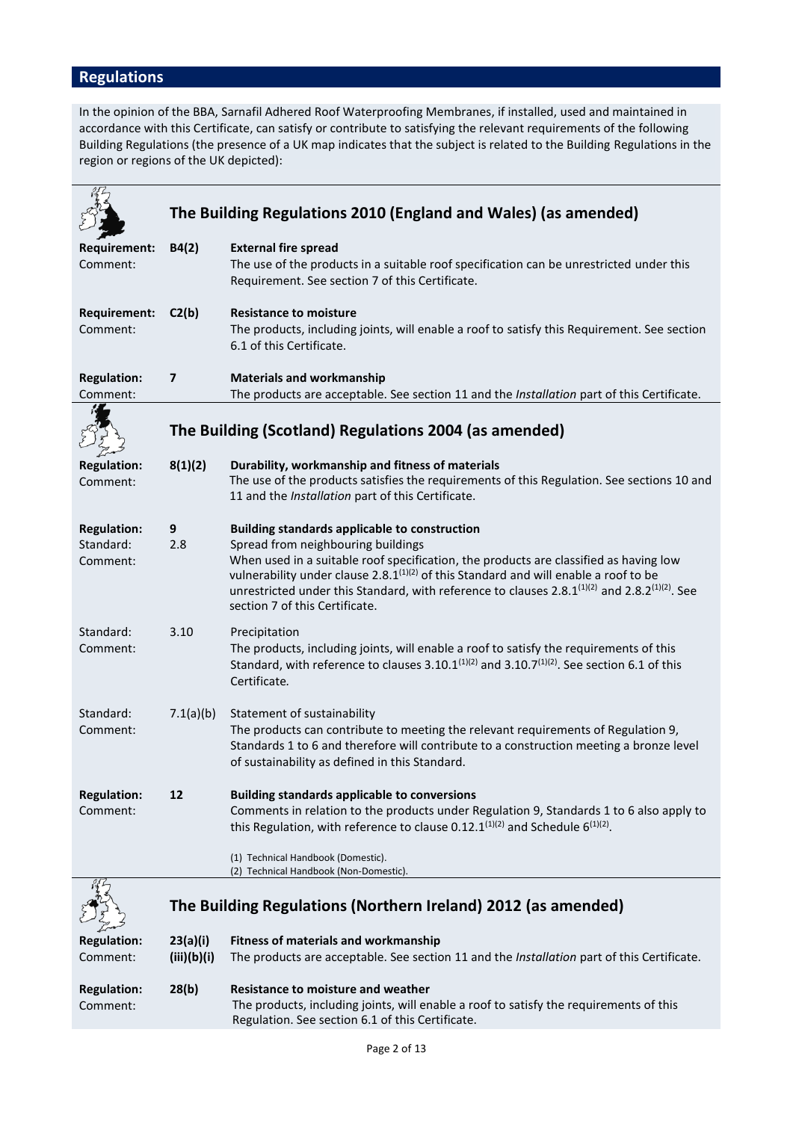# **Regulations**

In the opinion of the BBA, Sarnafil Adhered Roof Waterproofing Membranes, if installed, used and maintained in accordance with this Certificate, can satisfy or contribute to satisfying the relevant requirements of the following Building Regulations (the presence of a UK map indicates that the subject is related to the Building Regulations in the region or regions of the UK depicted):

|                                             |                         | The Building Regulations 2010 (England and Wales) (as amended)                                                                                                                                                                                                                                                                                                                                                                 |  |  |  |
|---------------------------------------------|-------------------------|--------------------------------------------------------------------------------------------------------------------------------------------------------------------------------------------------------------------------------------------------------------------------------------------------------------------------------------------------------------------------------------------------------------------------------|--|--|--|
| <b>Requirement:</b><br>Comment:             | B4(2)                   | <b>External fire spread</b><br>The use of the products in a suitable roof specification can be unrestricted under this<br>Requirement. See section 7 of this Certificate.                                                                                                                                                                                                                                                      |  |  |  |
| <b>Requirement:</b><br>Comment:             | C2(b)                   | <b>Resistance to moisture</b><br>The products, including joints, will enable a roof to satisfy this Requirement. See section<br>6.1 of this Certificate.                                                                                                                                                                                                                                                                       |  |  |  |
| <b>Regulation:</b>                          | $\overline{\mathbf{z}}$ | <b>Materials and workmanship</b>                                                                                                                                                                                                                                                                                                                                                                                               |  |  |  |
| Comment:                                    |                         | The products are acceptable. See section 11 and the Installation part of this Certificate.                                                                                                                                                                                                                                                                                                                                     |  |  |  |
|                                             |                         | The Building (Scotland) Regulations 2004 (as amended)                                                                                                                                                                                                                                                                                                                                                                          |  |  |  |
| <b>Regulation:</b><br>Comment:              | 8(1)(2)                 | Durability, workmanship and fitness of materials<br>The use of the products satisfies the requirements of this Regulation. See sections 10 and<br>11 and the Installation part of this Certificate.                                                                                                                                                                                                                            |  |  |  |
| <b>Regulation:</b><br>Standard:<br>Comment: | 9<br>2.8                | <b>Building standards applicable to construction</b><br>Spread from neighbouring buildings<br>When used in a suitable roof specification, the products are classified as having low<br>vulnerability under clause 2.8. $1^{(1)(2)}$ of this Standard and will enable a roof to be<br>unrestricted under this Standard, with reference to clauses $2.8.1^{(1)(2)}$ and $2.8.2^{(1)(2)}$ . See<br>section 7 of this Certificate. |  |  |  |
| Standard:<br>Comment:                       | 3.10                    | Precipitation<br>The products, including joints, will enable a roof to satisfy the requirements of this<br>Standard, with reference to clauses 3.10.1 $(1)(2)$ and 3.10.7 $(1)(2)$ . See section 6.1 of this<br>Certificate.                                                                                                                                                                                                   |  |  |  |
| Standard:<br>Comment:                       | 7.1(a)(b)               | Statement of sustainability<br>The products can contribute to meeting the relevant requirements of Regulation 9,<br>Standards 1 to 6 and therefore will contribute to a construction meeting a bronze level<br>of sustainability as defined in this Standard.                                                                                                                                                                  |  |  |  |
| <b>Regulation:</b><br>Comment:              | 12                      | <b>Building standards applicable to conversions</b><br>Comments in relation to the products under Regulation 9, Standards 1 to 6 also apply to<br>this Regulation, with reference to clause 0.12.1 <sup>(1)(2)</sup> and Schedule $6^{(1)(2)}$ .<br>(1) Technical Handbook (Domestic).                                                                                                                                         |  |  |  |
|                                             |                         | (2) Technical Handbook (Non-Domestic).                                                                                                                                                                                                                                                                                                                                                                                         |  |  |  |
|                                             |                         | The Building Regulations (Northern Ireland) 2012 (as amended)                                                                                                                                                                                                                                                                                                                                                                  |  |  |  |
| <b>Regulation:</b>                          | 23(a)(i)                | <b>Fitness of materials and workmanship</b>                                                                                                                                                                                                                                                                                                                                                                                    |  |  |  |
| Comment:                                    | (iii)(b)(i)             | The products are acceptable. See section 11 and the Installation part of this Certificate.                                                                                                                                                                                                                                                                                                                                     |  |  |  |
| <b>Regulation:</b><br>Comment:              | 28(b)                   | <b>Resistance to moisture and weather</b><br>The products, including joints, will enable a roof to satisfy the requirements of this                                                                                                                                                                                                                                                                                            |  |  |  |

Regulation. See section 6.1 of this Certificate.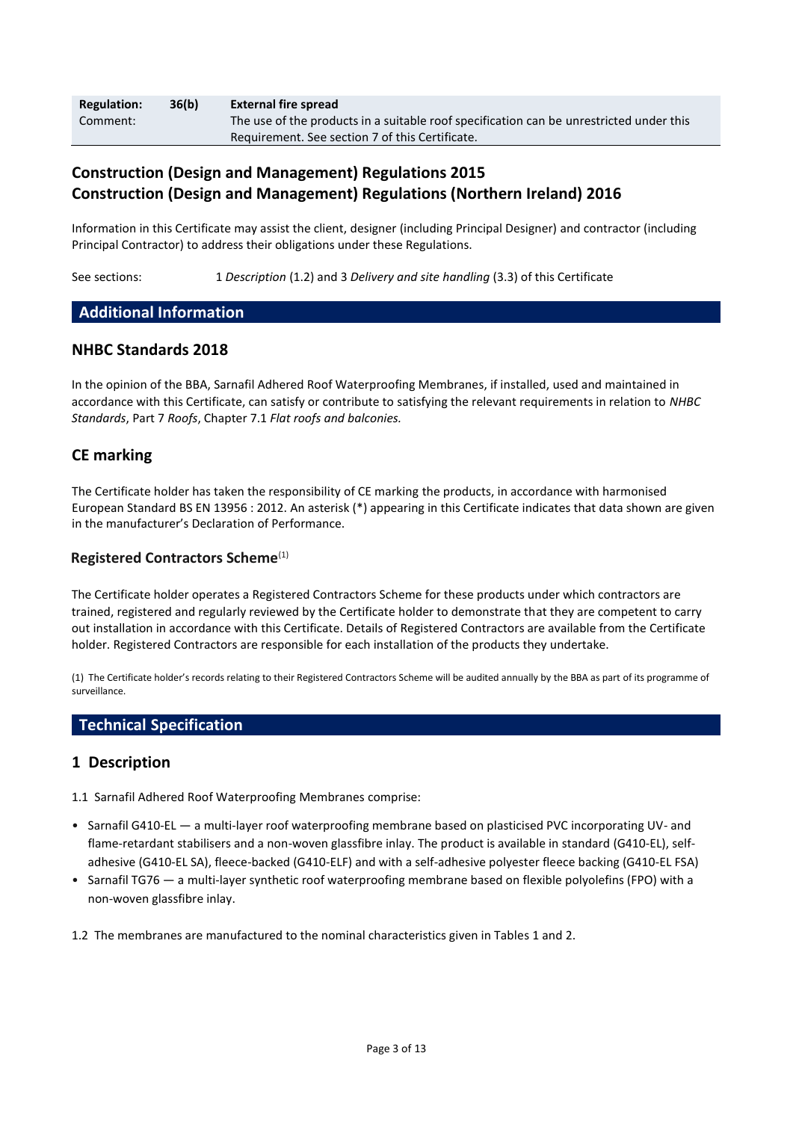| <b>Regulation:</b> | 36(b) | <b>External fire spread</b>                                                             |
|--------------------|-------|-----------------------------------------------------------------------------------------|
| Comment:           |       | The use of the products in a suitable roof specification can be unrestricted under this |
|                    |       | Requirement. See section 7 of this Certificate.                                         |

## **Construction (Design and Management) Regulations 2015 Construction (Design and Management) Regulations (Northern Ireland) 2016**

Information in this Certificate may assist the client, designer (including Principal Designer) and contractor (including Principal Contractor) to address their obligations under these Regulations.

See sections: 1 *Description* (1.2) and 3 *Delivery and site handling* (3.3) of this Certificate

#### **Additional Information**

#### **NHBC Standards 2018**

In the opinion of the BBA, Sarnafil Adhered Roof Waterproofing Membranes, if installed, used and maintained in accordance with this Certificate, can satisfy or contribute to satisfying the relevant requirements in relation to *NHBC Standards*, Part 7 *Roofs*, Chapter 7.1 *Flat roofs and balconies.*

### **CE marking**

The Certificate holder has taken the responsibility of CE marking the products, in accordance with harmonised European Standard BS EN 13956 : 2012. An asterisk (\*) appearing in this Certificate indicates that data shown are given in the manufacturer's Declaration of Performance.

#### **Registered Contractors Scheme**(1)

The Certificate holder operates a Registered Contractors Scheme for these products under which contractors are trained, registered and regularly reviewed by the Certificate holder to demonstrate that they are competent to carry out installation in accordance with this Certificate. Details of Registered Contractors are available from the Certificate holder. Registered Contractors are responsible for each installation of the products they undertake.

(1) The Certificate holder's records relating to their Registered Contractors Scheme will be audited annually by the BBA as part of its programme of surveillance.

#### **Technical Specification**

#### **1 Description**

1.1 Sarnafil Adhered Roof Waterproofing Membranes comprise:

- Sarnafil G410-EL a multi-layer roof waterproofing membrane based on plasticised PVC incorporating UV- and flame-retardant stabilisers and a non-woven glassfibre inlay. The product is available in standard (G410-EL), selfadhesive (G410-EL SA), fleece-backed (G410-ELF) and with a self-adhesive polyester fleece backing (G410-EL FSA)
- Sarnafil TG76 a multi-layer synthetic roof waterproofing membrane based on flexible polyolefins (FPO) with a non-woven glassfibre inlay.

1.2 The membranes are manufactured to the nominal characteristics given in Tables 1 and 2.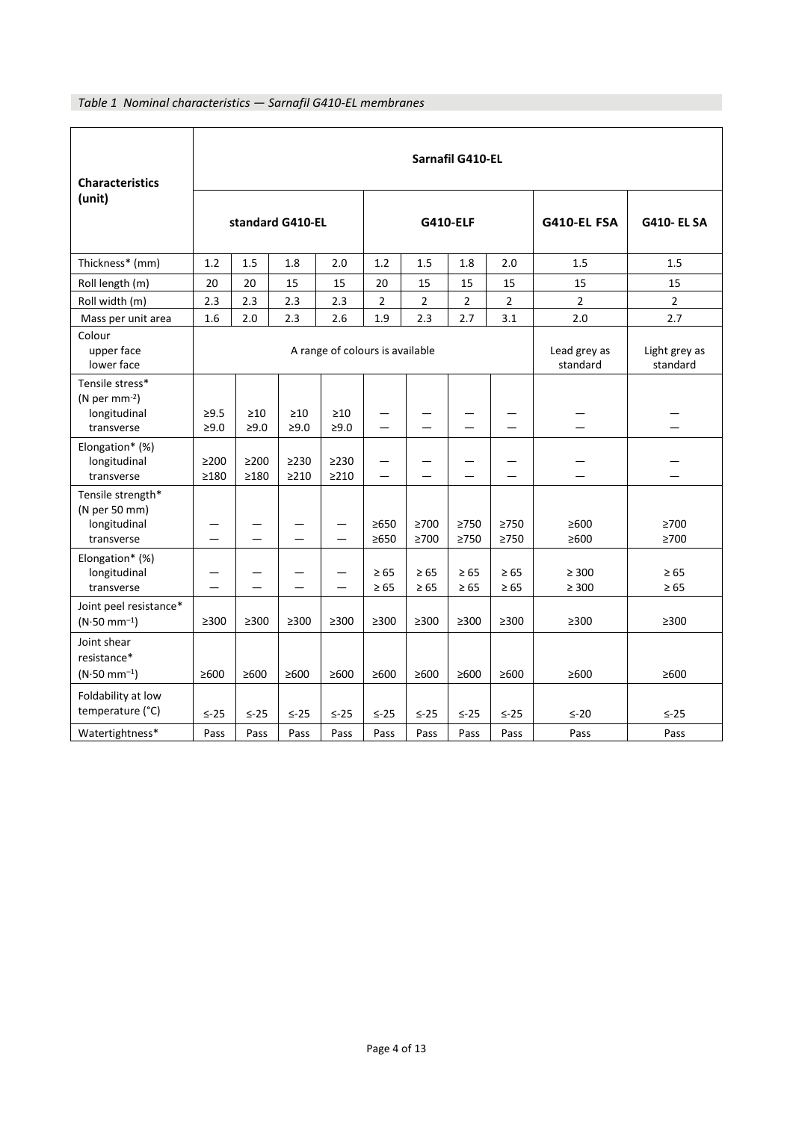## *Table 1 Nominal characteristics — Sarnafil G410-EL membranes*

| <b>Characteristics</b>                                               | Sarnafil G410-EL                                                                         |                          |                          |                          |                          |                          |                        |                          |                          |                          |
|----------------------------------------------------------------------|------------------------------------------------------------------------------------------|--------------------------|--------------------------|--------------------------|--------------------------|--------------------------|------------------------|--------------------------|--------------------------|--------------------------|
| (unit)                                                               | standard G410-EL                                                                         |                          |                          | <b>G410-ELF</b>          |                          |                          |                        | G410-EL FSA              | <b>G410- EL SA</b>       |                          |
| Thickness* (mm)                                                      | 1.2                                                                                      | 1.5                      | 1.8                      | 2.0                      | 1.2                      | 1.5                      | 1.8                    | 2.0                      | 1.5                      | 1.5                      |
| Roll length (m)                                                      | 20                                                                                       | 20                       | 15                       | 15                       | 20                       | 15                       | 15                     | 15                       | 15                       | 15                       |
| Roll width (m)                                                       | 2.3                                                                                      | 2.3                      | 2.3                      | 2.3                      | $\overline{2}$           | $\overline{2}$           | $\overline{2}$         | $\overline{2}$           | $\overline{2}$           | $\overline{2}$           |
| Mass per unit area                                                   | 1.6                                                                                      | 2.0                      | 2.3                      | 2.6                      | 1.9                      | 2.3                      | 2.7                    | 3.1                      | 2.0                      | 2.7                      |
| Colour<br>upper face<br>lower face                                   | A range of colours is available<br>Lead grey as<br>Light grey as<br>standard<br>standard |                          |                          |                          |                          |                          |                        |                          |                          |                          |
| Tensile stress*<br>(N per mm $^{-2}$ )<br>longitudinal<br>transverse | $\geq 9.5$<br>$\geq 9.0$                                                                 | $\geq 10$<br>$\geq 9.0$  | $\geq 10$<br>$\geq 9.0$  | $\geq 10$<br>$\geq 9.0$  | $\qquad \qquad$          |                          |                        |                          |                          |                          |
| Elongation* (%)<br>longitudinal<br>transverse                        | $\geq$ 200<br>$\geq$ 180                                                                 | $\geq$ 200<br>$\geq$ 180 | $\geq$ 230<br>$\geq$ 210 | $\geq$ 230<br>$\geq$ 210 | $\overline{\phantom{0}}$ |                          | —                      |                          |                          |                          |
| Tensile strength*<br>(N per 50 mm)<br>longitudinal<br>transverse     |                                                                                          |                          |                          |                          | $\geq 650$<br>$\geq 650$ | $\geq 700$<br>$\geq 700$ | $\geq$ 750<br>>750     | $\geq$ 750<br>$\geq 750$ | $\geq 600$<br>$\geq 600$ | $\geq 700$<br>$\geq 700$ |
| Elongation* (%)<br>longitudinal<br>transverse                        |                                                                                          |                          |                          |                          | $\geq 65$<br>$\geq 65$   | $\geq 65$<br>$\geq 65$   | $\geq 65$<br>$\geq 65$ | $\geq 65$<br>$\geq 65$   | $\geq 300$<br>$\geq 300$ | $\geq 65$<br>$\geq 65$   |
| Joint peel resistance*<br>$(N.50 \text{ mm}^{-1})$                   | $\geq$ 300                                                                               | $\geq$ 300               | $\geq 300$               | $\geq$ 300               | $\geq$ 300               | $\geq$ 300               | $\geq$ 300             | $\geq$ 300               | $\geq$ 300               | $\geq$ 300               |
| Joint shear<br>resistance*<br>$(N.50 \text{ mm}^{-1})$               | ≥600                                                                                     | $\geq 600$               | $\geq 600$               | $\geq 600$               | $\geq 600$               | $\geq 600$               | $\geq 600$             | $\geq 600$               | $\geq 600$               | $\geq 600$               |
| Foldability at low<br>temperature (°C)                               | $\leq -25$                                                                               | $\leq -25$               | $\leq -25$               | $\leq -25$               | $\leq -25$               | $\leq -25$               | $\leq -25$             | $\leq -25$               | $\leq -20$               | $\leq -25$               |
| Watertightness*                                                      | Pass                                                                                     | Pass                     | Pass                     | Pass                     | Pass                     | Pass                     | Pass                   | Pass                     | Pass                     | Pass                     |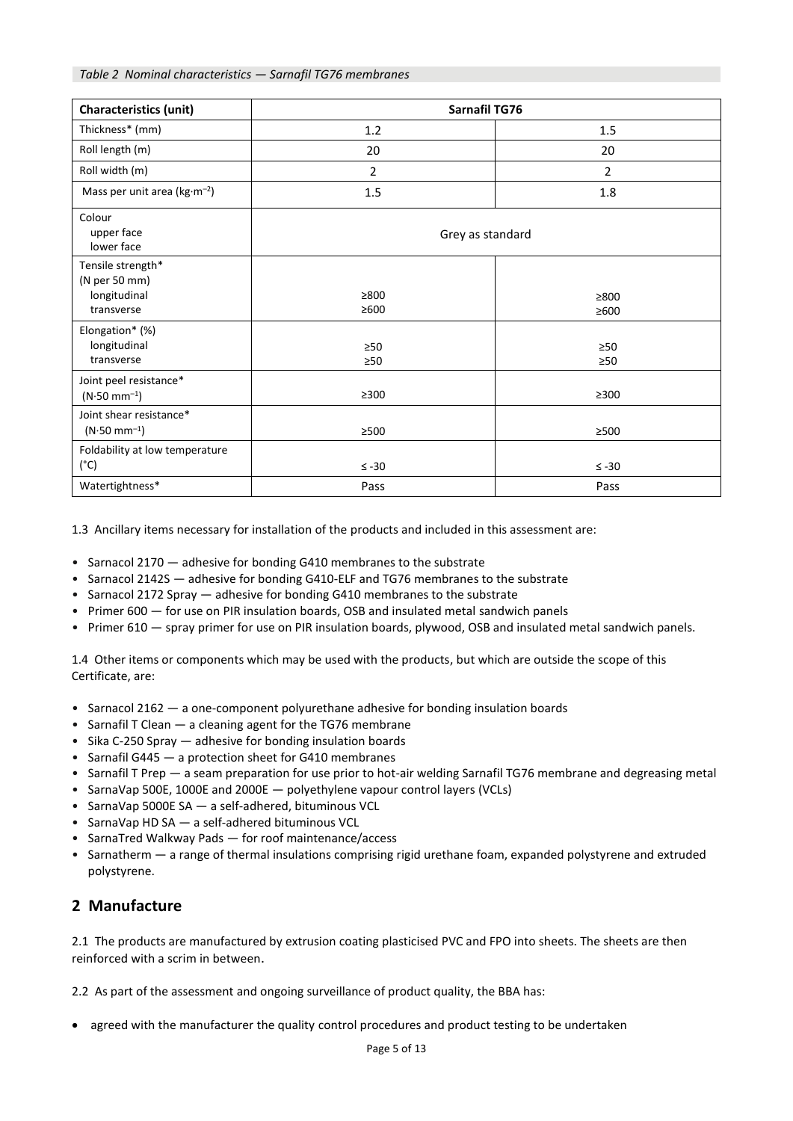| <b>Characteristics (unit)</b>                                    | Sarnafil TG76            |                    |  |  |  |
|------------------------------------------------------------------|--------------------------|--------------------|--|--|--|
| Thickness* (mm)                                                  | 1.2                      | 1.5                |  |  |  |
| Roll length (m)                                                  | 20                       | 20                 |  |  |  |
| Roll width (m)                                                   | $\overline{2}$           | $\overline{2}$     |  |  |  |
| Mass per unit area ( $kg·m-2$ )                                  | 1.5                      | 1.8                |  |  |  |
| Colour<br>upper face<br>lower face                               | Grey as standard         |                    |  |  |  |
| Tensile strength*<br>(N per 50 mm)<br>longitudinal<br>transverse | $\geq 800$<br>$\geq 600$ | ≥800<br>$\geq 600$ |  |  |  |
| Elongation* (%)<br>longitudinal<br>transverse                    | $\geq 50$<br>$\geq 50$   | $\geq 50$<br>>50   |  |  |  |
| Joint peel resistance*<br>$(N.50 \text{ mm}^{-1})$               | $\geq$ 300               | $\geq$ 300         |  |  |  |
| Joint shear resistance*<br>$(N.50 \text{ mm}^{-1})$              | $\geq$ 500               | $\geq$ 500         |  |  |  |
| Foldability at low temperature<br>$(^{\circ}C)$                  | $\leq -30$               | $\leq$ -30         |  |  |  |
| Watertightness*                                                  | Pass                     | Pass               |  |  |  |

1.3 Ancillary items necessary for installation of the products and included in this assessment are:

- Sarnacol 2170 adhesive for bonding G410 membranes to the substrate
- Sarnacol 2142S adhesive for bonding G410-ELF and TG76 membranes to the substrate
- Sarnacol 2172 Spray adhesive for bonding G410 membranes to the substrate
- Primer 600 for use on PIR insulation boards, OSB and insulated metal sandwich panels
- Primer 610 spray primer for use on PIR insulation boards, plywood, OSB and insulated metal sandwich panels.

1.4 Other items or components which may be used with the products, but which are outside the scope of this Certificate, are:

- Sarnacol 2162 a one-component polyurethane adhesive for bonding insulation boards
- Sarnafil T Clean a cleaning agent for the TG76 membrane
- Sika C-250 Spray adhesive for bonding insulation boards
- Sarnafil G445 a protection sheet for G410 membranes
- Sarnafil T Prep a seam preparation for use prior to hot-air welding Sarnafil TG76 membrane and degreasing metal
- SarnaVap 500E, 1000E and 2000E polyethylene vapour control layers (VCLs)
- SarnaVap 5000E SA a self-adhered, bituminous VCL
- SarnaVap HD SA a self-adhered bituminous VCL
- SarnaTred Walkway Pads for roof maintenance/access
- Sarnatherm a range of thermal insulations comprising rigid urethane foam, expanded polystyrene and extruded polystyrene.

## **2 Manufacture**

2.1 The products are manufactured by extrusion coating plasticised PVC and FPO into sheets. The sheets are then reinforced with a scrim in between.

2.2 As part of the assessment and ongoing surveillance of product quality, the BBA has:

• agreed with the manufacturer the quality control procedures and product testing to be undertaken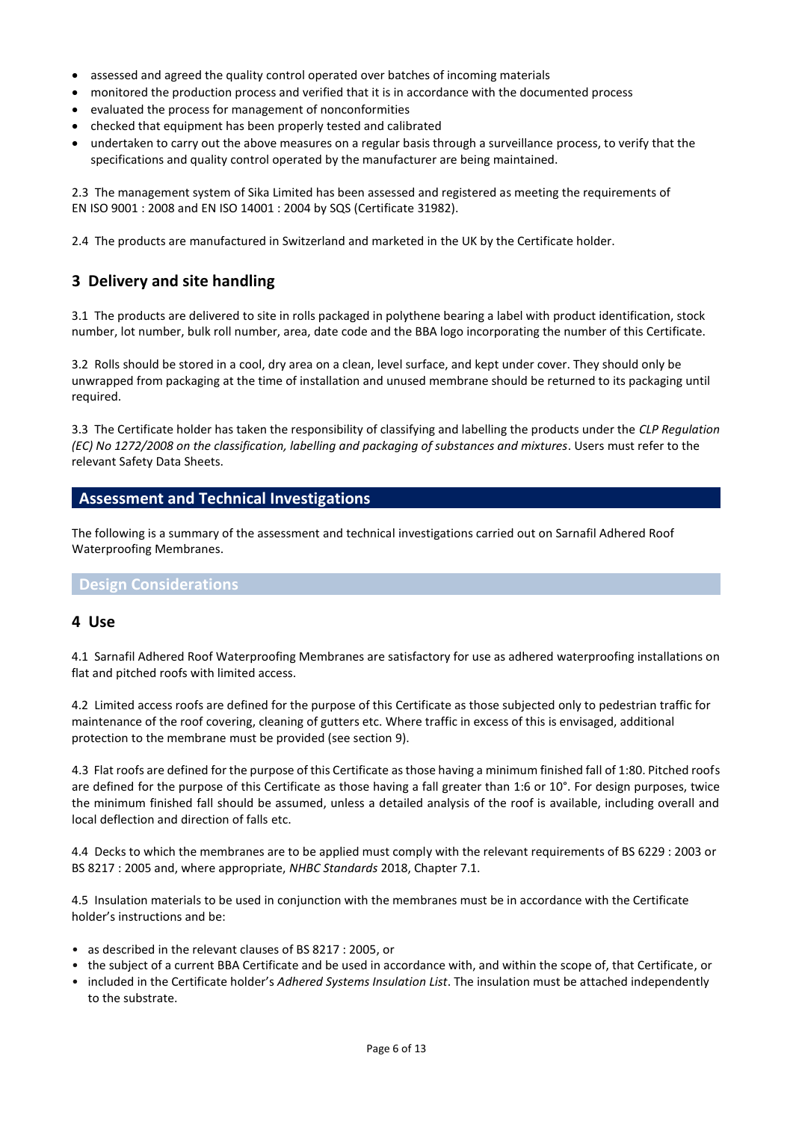- assessed and agreed the quality control operated over batches of incoming materials
- monitored the production process and verified that it is in accordance with the documented process
- evaluated the process for management of nonconformities
- checked that equipment has been properly tested and calibrated
- undertaken to carry out the above measures on a regular basis through a surveillance process, to verify that the specifications and quality control operated by the manufacturer are being maintained.

2.3 The management system of Sika Limited has been assessed and registered as meeting the requirements of EN ISO 9001 : 2008 and EN ISO 14001 : 2004 by SQS (Certificate 31982).

2.4 The products are manufactured in Switzerland and marketed in the UK by the Certificate holder.

## **3 Delivery and site handling**

3.1 The products are delivered to site in rolls packaged in polythene bearing a label with product identification, stock number, lot number, bulk roll number, area, date code and the BBA logo incorporating the number of this Certificate.

3.2 Rolls should be stored in a cool, dry area on a clean, level surface, and kept under cover. They should only be unwrapped from packaging at the time of installation and unused membrane should be returned to its packaging until required.

3.3 The Certificate holder has taken the responsibility of classifying and labelling the products under the *CLP Regulation (EC) No 1272/2008 on the classification, labelling and packaging of substances and mixtures*. Users must refer to the relevant Safety Data Sheets.

#### **Assessment and Technical Investigations**

The following is a summary of the assessment and technical investigations carried out on Sarnafil Adhered Roof Waterproofing Membranes.

#### **Design Considerations**

#### **4 Use**

4.1 Sarnafil Adhered Roof Waterproofing Membranes are satisfactory for use as adhered waterproofing installations on flat and pitched roofs with limited access.

4.2 Limited access roofs are defined for the purpose of this Certificate as those subjected only to pedestrian traffic for maintenance of the roof covering, cleaning of gutters etc. Where traffic in excess of this is envisaged, additional protection to the membrane must be provided (see section 9).

4.3 Flat roofs are defined for the purpose of this Certificate as those having a minimum finished fall of 1:80. Pitched roofs are defined for the purpose of this Certificate as those having a fall greater than 1:6 or 10°. For design purposes, twice the minimum finished fall should be assumed, unless a detailed analysis of the roof is available, including overall and local deflection and direction of falls etc.

4.4 Decks to which the membranes are to be applied must comply with the relevant requirements of BS 6229 : 2003 or BS 8217 : 2005 and, where appropriate, *NHBC Standards* 2018, Chapter 7.1.

4.5 Insulation materials to be used in conjunction with the membranes must be in accordance with the Certificate holder's instructions and be:

- as described in the relevant clauses of BS 8217 : 2005, or
- the subject of a current BBA Certificate and be used in accordance with, and within the scope of, that Certificate, or
- included in the Certificate holder's *Adhered Systems Insulation List*. The insulation must be attached independently to the substrate.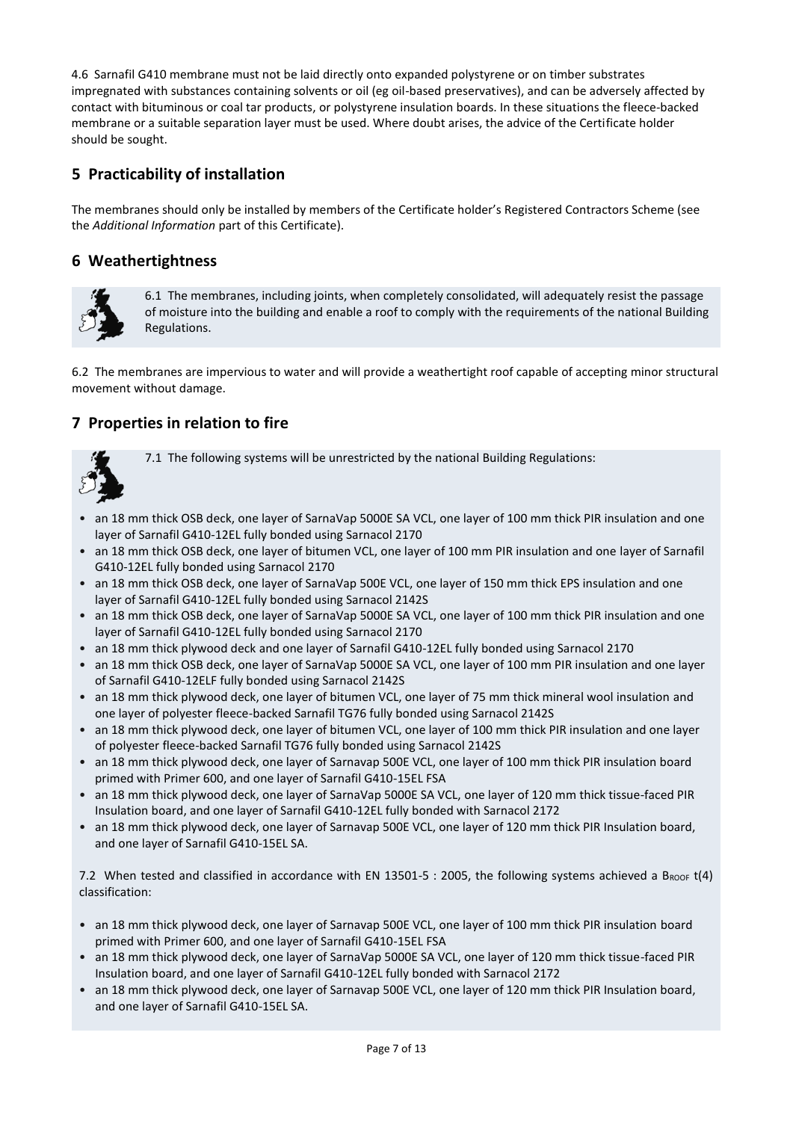4.6 Sarnafil G410 membrane must not be laid directly onto expanded polystyrene or on timber substrates impregnated with substances containing solvents or oil (eg oil-based preservatives), and can be adversely affected by contact with bituminous or coal tar products, or polystyrene insulation boards. In these situations the fleece-backed membrane or a suitable separation layer must be used. Where doubt arises, the advice of the Certificate holder should be sought.

## **5 Practicability of installation**

The membranes should only be installed by members of the Certificate holder's Registered Contractors Scheme (see the *Additional Information* part of this Certificate).

## **6 Weathertightness**



6.1 The membranes, including joints, when completely consolidated, will adequately resist the passage of moisture into the building and enable a roof to comply with the requirements of the national Building Regulations.

6.2 The membranes are impervious to water and will provide a weathertight roof capable of accepting minor structural movement without damage.

## **7 Properties in relation to fire**



7.1 The following systems will be unrestricted by the national Building Regulations:

- an 18 mm thick OSB deck, one layer of SarnaVap 5000E SA VCL, one layer of 100 mm thick PIR insulation and one layer of Sarnafil G410-12EL fully bonded using Sarnacol 2170
- an 18 mm thick OSB deck, one layer of bitumen VCL, one layer of 100 mm PIR insulation and one layer of Sarnafil G410-12EL fully bonded using Sarnacol 2170
- an 18 mm thick OSB deck, one layer of SarnaVap 500E VCL, one layer of 150 mm thick EPS insulation and one layer of Sarnafil G410-12EL fully bonded using Sarnacol 2142S
- an 18 mm thick OSB deck, one layer of SarnaVap 5000E SA VCL, one layer of 100 mm thick PIR insulation and one layer of Sarnafil G410-12EL fully bonded using Sarnacol 2170
- an 18 mm thick plywood deck and one layer of Sarnafil G410-12EL fully bonded using Sarnacol 2170
- an 18 mm thick OSB deck, one layer of SarnaVap 5000E SA VCL, one layer of 100 mm PIR insulation and one layer of Sarnafil G410-12ELF fully bonded using Sarnacol 2142S
- an 18 mm thick plywood deck, one layer of bitumen VCL, one layer of 75 mm thick mineral wool insulation and one layer of polyester fleece-backed Sarnafil TG76 fully bonded using Sarnacol 2142S
- an 18 mm thick plywood deck, one layer of bitumen VCL, one layer of 100 mm thick PIR insulation and one layer of polyester fleece-backed Sarnafil TG76 fully bonded using Sarnacol 2142S
- an 18 mm thick plywood deck, one layer of Sarnavap 500E VCL, one layer of 100 mm thick PIR insulation board primed with Primer 600, and one layer of Sarnafil G410-15EL FSA
- an 18 mm thick plywood deck, one layer of SarnaVap 5000E SA VCL, one layer of 120 mm thick tissue-faced PIR Insulation board, and one layer of Sarnafil G410-12EL fully bonded with Sarnacol 2172
- an 18 mm thick plywood deck, one layer of Sarnavap 500E VCL, one layer of 120 mm thick PIR Insulation board, and one layer of Sarnafil G410-15EL SA.

7.2 When tested and classified in accordance with EN 13501-5 : 2005, the following systems achieved a BROOF  $t(4)$ classification:

- an 18 mm thick plywood deck, one layer of Sarnavap 500E VCL, one layer of 100 mm thick PIR insulation board primed with Primer 600, and one layer of Sarnafil G410-15EL FSA
- an 18 mm thick plywood deck, one layer of SarnaVap 5000E SA VCL, one layer of 120 mm thick tissue-faced PIR Insulation board, and one layer of Sarnafil G410-12EL fully bonded with Sarnacol 2172
- an 18 mm thick plywood deck, one layer of Sarnavap 500E VCL, one layer of 120 mm thick PIR Insulation board, and one layer of Sarnafil G410-15EL SA.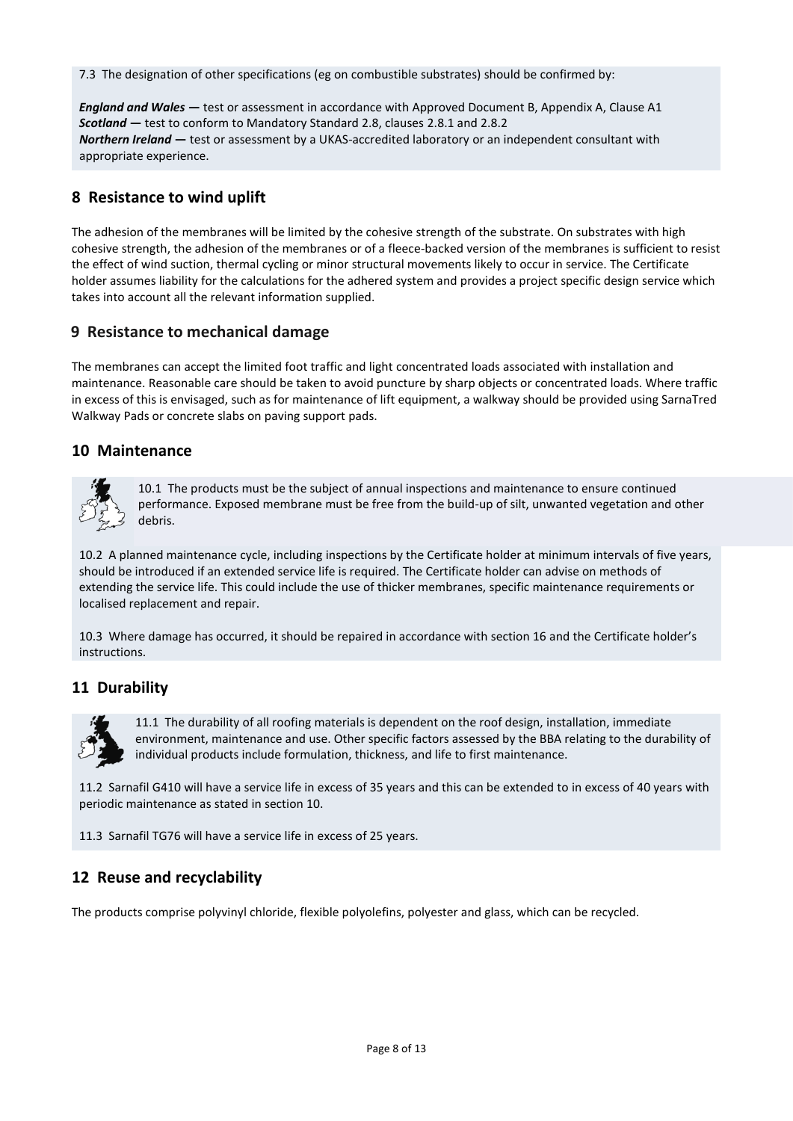7.3 The designation of other specifications (eg on combustible substrates) should be confirmed by:

*England and Wales* **—** test or assessment in accordance with Approved Document B, Appendix A, Clause A1 *Scotland* **—** test to conform to Mandatory Standard 2.8, clauses 2.8.1 and 2.8.2 *Northern Ireland* **—** test or assessment by a UKAS-accredited laboratory or an independent consultant with appropriate experience.

## **8 Resistance to wind uplift**

The adhesion of the membranes will be limited by the cohesive strength of the substrate. On substrates with high cohesive strength, the adhesion of the membranes or of a fleece-backed version of the membranes is sufficient to resist the effect of wind suction, thermal cycling or minor structural movements likely to occur in service. The Certificate holder assumes liability for the calculations for the adhered system and provides a project specific design service which takes into account all the relevant information supplied.

### **9 Resistance to mechanical damage**

The membranes can accept the limited foot traffic and light concentrated loads associated with installation and maintenance. Reasonable care should be taken to avoid puncture by sharp objects or concentrated loads. Where traffic in excess of this is envisaged, such as for maintenance of lift equipment, a walkway should be provided using SarnaTred Walkway Pads or concrete slabs on paving support pads.

### **10 Maintenance**



10.1 The products must be the subject of annual inspections and maintenance to ensure continued performance. Exposed membrane must be free from the build-up of silt, unwanted vegetation and other debris.

10.2 A planned maintenance cycle, including inspections by the Certificate holder at minimum intervals of five years, should be introduced if an extended service life is required. The Certificate holder can advise on methods of extending the service life. This could include the use of thicker membranes, specific maintenance requirements or localised replacement and repair.

10.3 Where damage has occurred, it should be repaired in accordance with section 16 and the Certificate holder's instructions.

## **11 Durability**



11.1 The durability of all roofing materials is dependent on the roof design, installation, immediate environment, maintenance and use. Other specific factors assessed by the BBA relating to the durability of individual products include formulation, thickness, and life to first maintenance.

11.2 Sarnafil G410 will have a service life in excess of 35 years and this can be extended to in excess of 40 years with periodic maintenance as stated in section 10.

11.3 Sarnafil TG76 will have a service life in excess of 25 years.

## **12 Reuse and recyclability**

The products comprise polyvinyl chloride, flexible polyolefins, polyester and glass, which can be recycled.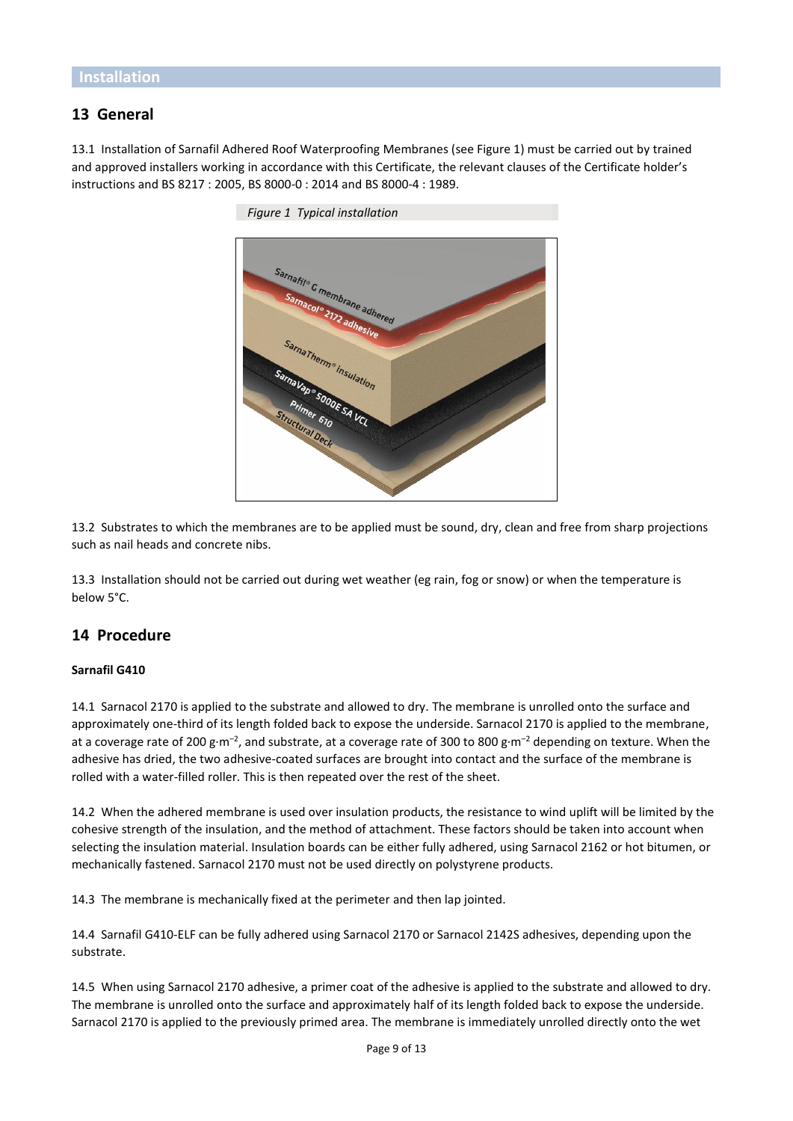## **13 General**

13.1 Installation of Sarnafil Adhered Roof Waterproofing Membranes (see Figure 1) must be carried out by trained and approved installers working in accordance with this Certificate, the relevant clauses of the Certificate holder's instructions and BS 8217 : 2005, BS 8000-0 : 2014 and BS 8000-4 : 1989.



*Figure 1 Typical installation*

13.2 Substrates to which the membranes are to be applied must be sound, dry, clean and free from sharp projections such as nail heads and concrete nibs.

13.3 Installation should not be carried out during wet weather (eg rain, fog or snow) or when the temperature is below 5°C.

#### **14 Procedure**

#### **Sarnafil G410**

14.1 Sarnacol 2170 is applied to the substrate and allowed to dry. The membrane is unrolled onto the surface and approximately one-third of its length folded back to expose the underside. Sarnacol 2170 is applied to the membrane, at a coverage rate of 200 g·m<sup>-2</sup>, and substrate, at a coverage rate of 300 to 800 g·m<sup>-2</sup> depending on texture. When the adhesive has dried, the two adhesive-coated surfaces are brought into contact and the surface of the membrane is rolled with a water-filled roller. This is then repeated over the rest of the sheet.

14.2 When the adhered membrane is used over insulation products, the resistance to wind uplift will be limited by the cohesive strength of the insulation, and the method of attachment. These factors should be taken into account when selecting the insulation material. Insulation boards can be either fully adhered, using Sarnacol 2162 or hot bitumen, or mechanically fastened. Sarnacol 2170 must not be used directly on polystyrene products.

14.3 The membrane is mechanically fixed at the perimeter and then lap jointed.

14.4 Sarnafil G410-ELF can be fully adhered using Sarnacol 2170 or Sarnacol 2142S adhesives, depending upon the substrate.

14.5 When using Sarnacol 2170 adhesive, a primer coat of the adhesive is applied to the substrate and allowed to dry. The membrane is unrolled onto the surface and approximately half of its length folded back to expose the underside. Sarnacol 2170 is applied to the previously primed area. The membrane is immediately unrolled directly onto the wet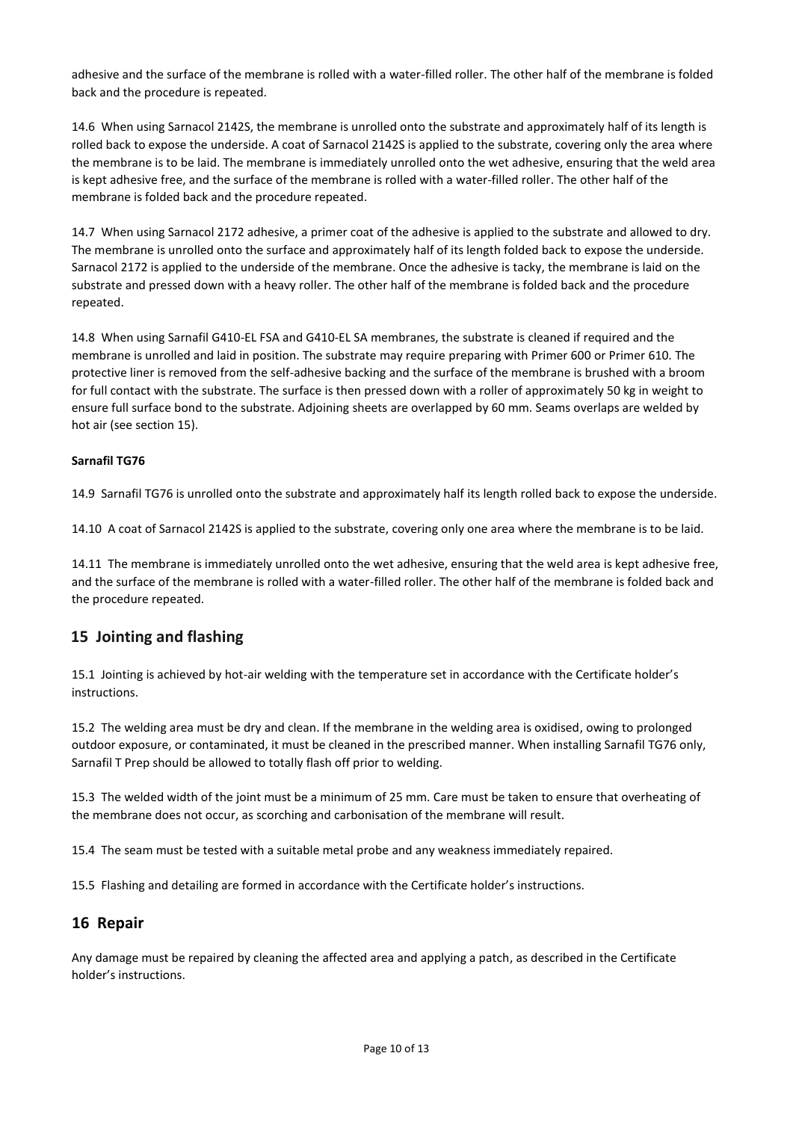adhesive and the surface of the membrane is rolled with a water-filled roller. The other half of the membrane is folded back and the procedure is repeated.

14.6 When using Sarnacol 2142S, the membrane is unrolled onto the substrate and approximately half of its length is rolled back to expose the underside. A coat of Sarnacol 2142S is applied to the substrate, covering only the area where the membrane is to be laid. The membrane is immediately unrolled onto the wet adhesive, ensuring that the weld area is kept adhesive free, and the surface of the membrane is rolled with a water-filled roller. The other half of the membrane is folded back and the procedure repeated.

14.7 When using Sarnacol 2172 adhesive, a primer coat of the adhesive is applied to the substrate and allowed to dry. The membrane is unrolled onto the surface and approximately half of its length folded back to expose the underside. Sarnacol 2172 is applied to the underside of the membrane. Once the adhesive is tacky, the membrane is laid on the substrate and pressed down with a heavy roller. The other half of the membrane is folded back and the procedure repeated.

14.8 When using Sarnafil G410-EL FSA and G410-EL SA membranes, the substrate is cleaned if required and the membrane is unrolled and laid in position. The substrate may require preparing with Primer 600 or Primer 610. The protective liner is removed from the self-adhesive backing and the surface of the membrane is brushed with a broom for full contact with the substrate. The surface is then pressed down with a roller of approximately 50 kg in weight to ensure full surface bond to the substrate. Adjoining sheets are overlapped by 60 mm. Seams overlaps are welded by hot air (see section 15).

#### **Sarnafil TG76**

14.9 Sarnafil TG76 is unrolled onto the substrate and approximately half its length rolled back to expose the underside.

14.10 A coat of Sarnacol 2142S is applied to the substrate, covering only one area where the membrane is to be laid.

14.11 The membrane is immediately unrolled onto the wet adhesive, ensuring that the weld area is kept adhesive free, and the surface of the membrane is rolled with a water-filled roller. The other half of the membrane is folded back and the procedure repeated.

#### **15 Jointing and flashing**

15.1 Jointing is achieved by hot-air welding with the temperature set in accordance with the Certificate holder's instructions.

15.2 The welding area must be dry and clean. If the membrane in the welding area is oxidised, owing to prolonged outdoor exposure, or contaminated, it must be cleaned in the prescribed manner. When installing Sarnafil TG76 only, Sarnafil T Prep should be allowed to totally flash off prior to welding.

15.3 The welded width of the joint must be a minimum of 25 mm. Care must be taken to ensure that overheating of the membrane does not occur, as scorching and carbonisation of the membrane will result.

15.4 The seam must be tested with a suitable metal probe and any weakness immediately repaired.

15.5 Flashing and detailing are formed in accordance with the Certificate holder's instructions.

#### **16 Repair**

Any damage must be repaired by cleaning the affected area and applying a patch, as described in the Certificate holder's instructions.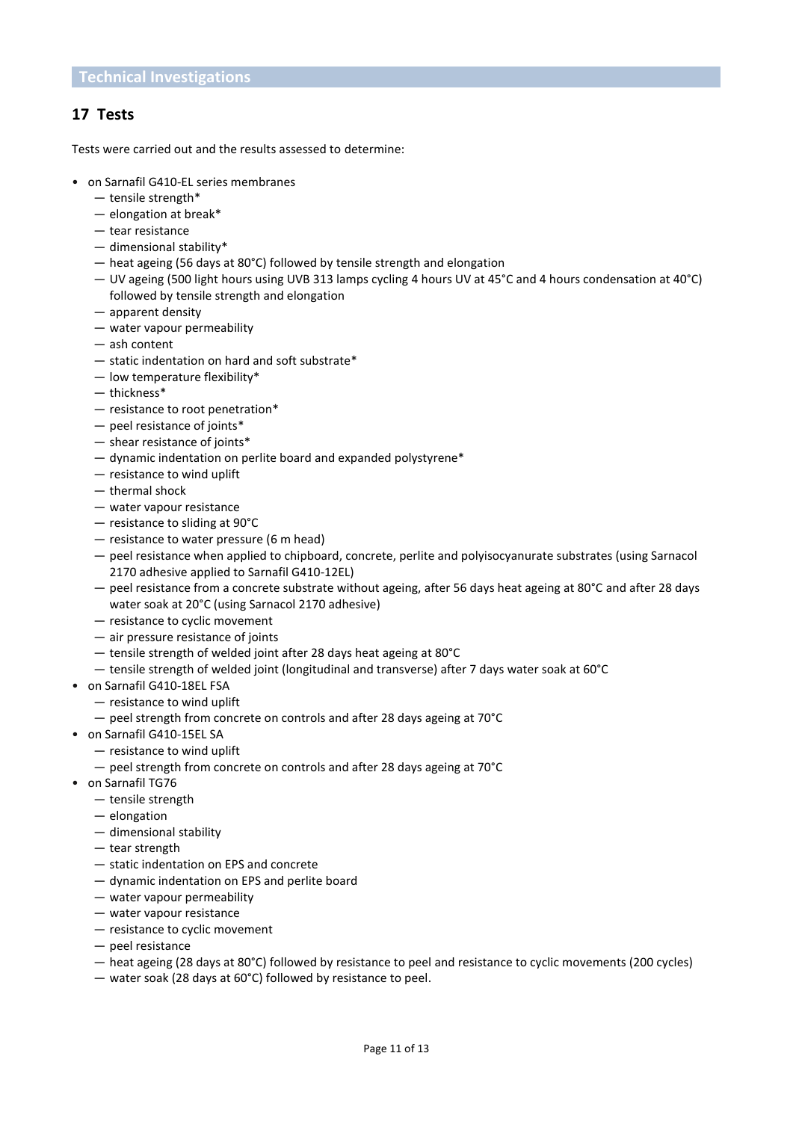## **17 Tests**

Tests were carried out and the results assessed to determine:

- on Sarnafil G410-EL series membranes
	- $-$  tensile strength\*
	- elongation at break\*
	- tear resistance
	- dimensional stability\*
	- heat ageing (56 days at 80°C) followed by tensile strength and elongation
	- UV ageing (500 light hours using UVB 313 lamps cycling 4 hours UV at 45°C and 4 hours condensation at 40°C) followed by tensile strength and elongation
	- apparent density
	- water vapour permeability
	- ash content
	- static indentation on hard and soft substrate\*
	- low temperature flexibility\*
	- thickness\*
	- resistance to root penetration\*
	- peel resistance of joints\*
	- shear resistance of joints\*
	- dynamic indentation on perlite board and expanded polystyrene\*
	- resistance to wind uplift
	- thermal shock
	- water vapour resistance
	- resistance to sliding at 90°C
	- resistance to water pressure (6 m head)
	- peel resistance when applied to chipboard, concrete, perlite and polyisocyanurate substrates (using Sarnacol 2170 adhesive applied to Sarnafil G410-12EL)
	- peel resistance from a concrete substrate without ageing, after 56 days heat ageing at 80°C and after 28 days water soak at 20°C (using Sarnacol 2170 adhesive)
	- resistance to cyclic movement
	- air pressure resistance of joints
	- tensile strength of welded joint after 28 days heat ageing at 80°C
	- tensile strength of welded joint (longitudinal and transverse) after 7 days water soak at 60°C
- on Sarnafil G410-18EL FSA
	- resistance to wind uplift
	- peel strength from concrete on controls and after 28 days ageing at 70°C
- on Sarnafil G410-15EL SA
	- resistance to wind uplift
	- peel strength from concrete on controls and after 28 days ageing at 70°C
- on Sarnafil TG76
	- tensile strength
	- elongation
	- dimensional stability
	- tear strength
	- static indentation on EPS and concrete
	- dynamic indentation on EPS and perlite board
	- water vapour permeability
	- water vapour resistance
	- resistance to cyclic movement
	- peel resistance
	- heat ageing (28 days at 80°C) followed by resistance to peel and resistance to cyclic movements (200 cycles)
	- water soak (28 days at 60°C) followed by resistance to peel.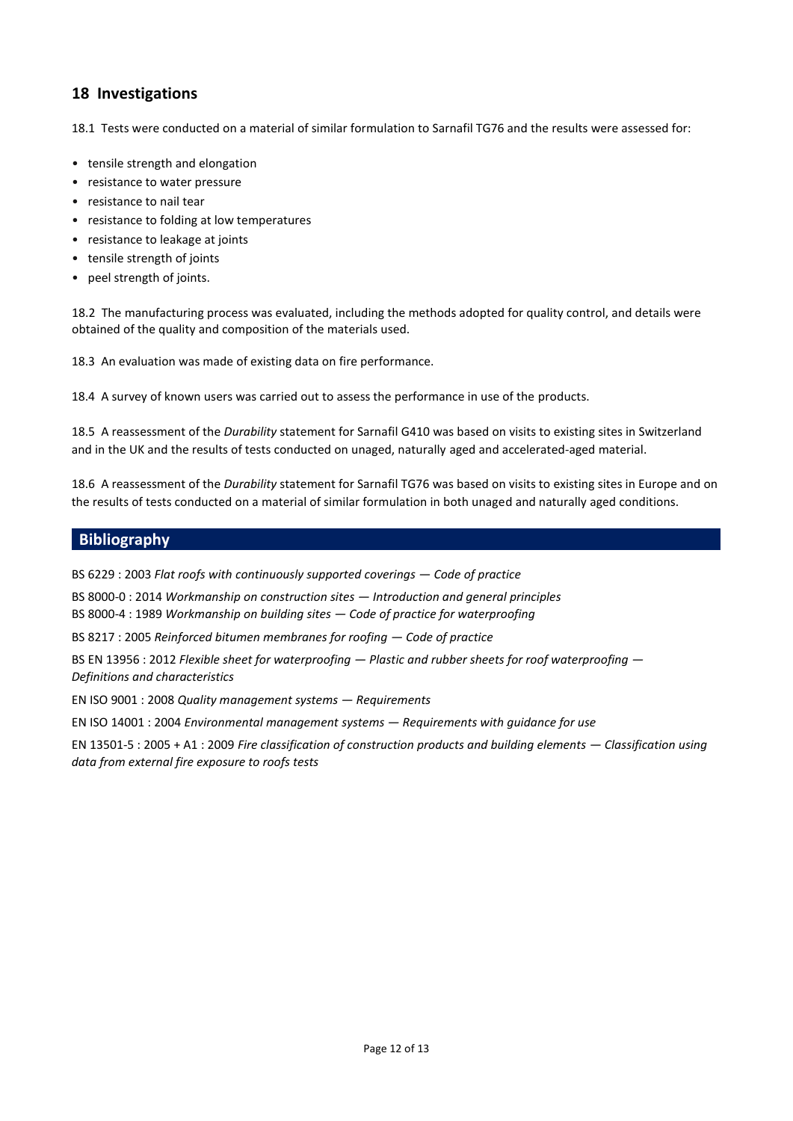## **18 Investigations**

18.1 Tests were conducted on a material of similar formulation to Sarnafil TG76 and the results were assessed for:

- tensile strength and elongation
- resistance to water pressure
- resistance to nail tear
- resistance to folding at low temperatures
- resistance to leakage at joints
- tensile strength of joints
- peel strength of joints.

18.2 The manufacturing process was evaluated, including the methods adopted for quality control, and details were obtained of the quality and composition of the materials used.

18.3 An evaluation was made of existing data on fire performance.

18.4 A survey of known users was carried out to assess the performance in use of the products.

18.5 A reassessment of the *Durability* statement for Sarnafil G410 was based on visits to existing sites in Switzerland and in the UK and the results of tests conducted on unaged, naturally aged and accelerated-aged material.

18.6 A reassessment of the *Durability* statement for Sarnafil TG76 was based on visits to existing sites in Europe and on the results of tests conducted on a material of similar formulation in both unaged and naturally aged conditions.

## **Bibliography**

BS 6229 : 2003 *Flat roofs with continuously supported coverings — Code of practice*

BS 8000-0 : 2014 *Workmanship on construction sites — Introduction and general principles*

BS 8000-4 : 1989 *Workmanship on building sites — Code of practice for waterproofing*

BS 8217 : 2005 *Reinforced bitumen membranes for roofing — Code of practice*

BS EN 13956 : 2012 *Flexible sheet for waterproofing — Plastic and rubber sheets for roof waterproofing — Definitions and characteristics*

EN ISO 9001 : 2008 *Quality management systems — Requirements*

EN ISO 14001 : 2004 *Environmental management systems — Requirements with guidance for use*

EN 13501-5 : 2005 + A1 : 2009 *Fire classification of construction products and building elements — Classification using data from external fire exposure to roofs tests*